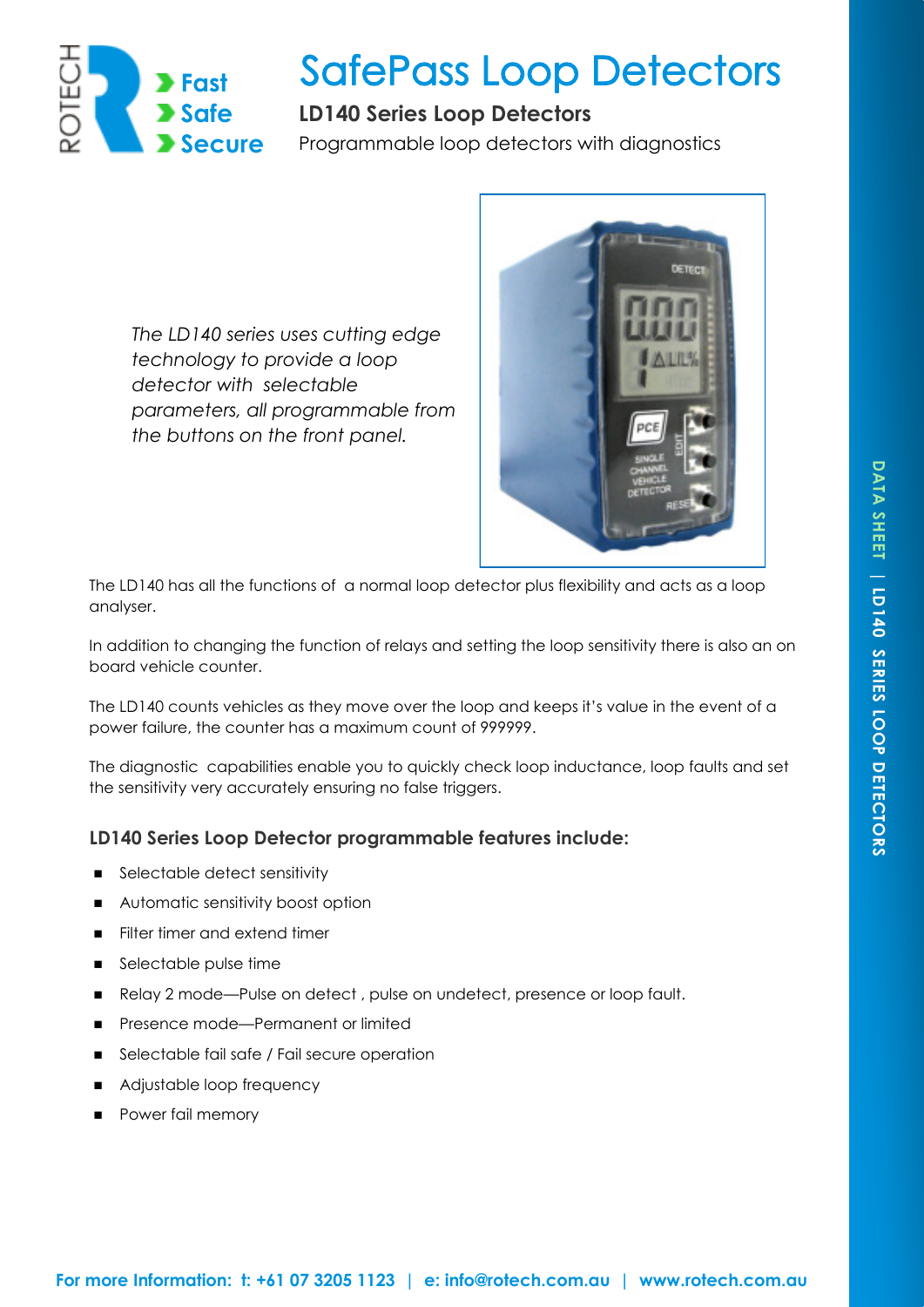

# **SafePass Loop Detectors**

# **LD140 Series Loop Detectors**

Programmable loop detectors with diagnostics

*The LD140 series uses cutting edge technology to provide a loop detector with selectable parameters, all programmable from the buttons on the front panel.* 



The LD140 has all the functions of a normal loop detector plus flexibility and acts as a loop analyser.

In addition to changing the function of relays and setting the loop sensitivity there is also an on board vehicle counter.

The LD140 counts vehicles as they move over the loop and keeps it's value in the event of a power failure, the counter has a maximum count of 999999.

The diagnostic capabilities enable you to quickly check loop inductance, loop faults and set the sensitivity very accurately ensuring no false triggers.

# **LD140 Series Loop Detector programmable features include:**

- Selectable detect sensitivity
- **Automatic sensitivity boost option**
- Filter timer and extend timer
- Selectable pulse time
- Relay 2 mode—Pulse on detect, pulse on undetect, presence or loop fault.
- Presence mode—Permanent or limited
- **Selectable fail safe / Fail secure operation**
- Adjustable loop frequency
- **Power fail memory**